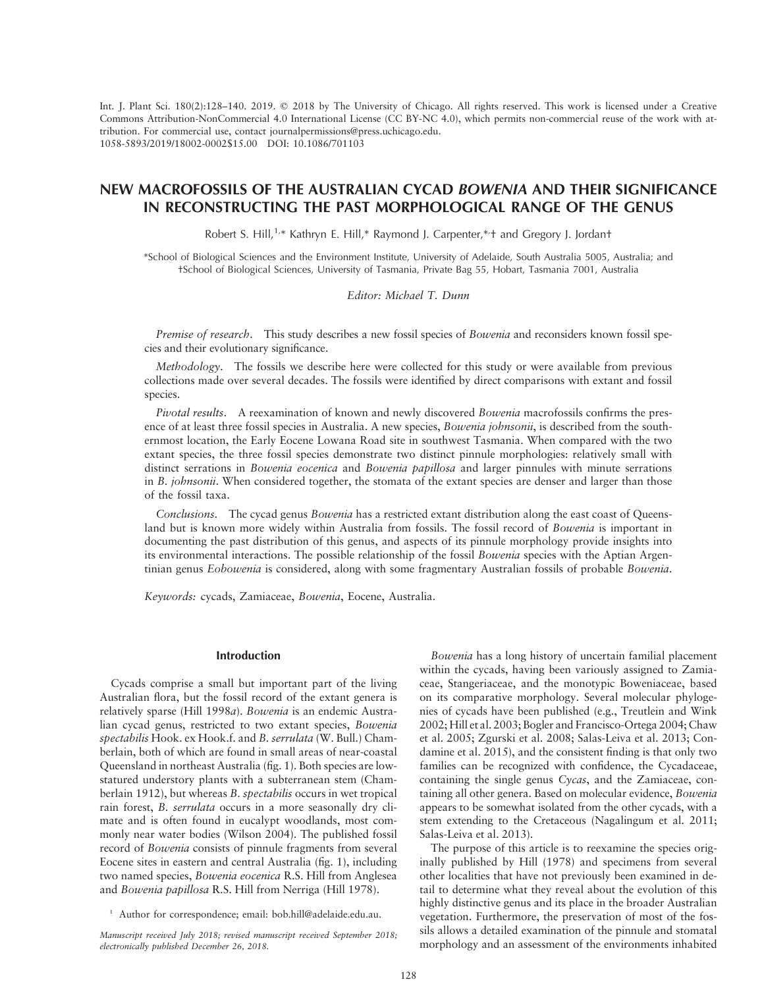Int. J. Plant Sci. 180(2):128–140. 2019.  $\oslash$  2018 by The University of Chicago. All rights reserved. This work is licensed under a Creative Commons Attribution-NonCommercial 4.0 International License (CC BY-NC 4.0), which permits non-commercial reuse of the work with attribution. For commercial use, contact journalpermissions@press.uchicago.edu. 1058-5893/2019/18002-0002\$15.00 DOI: 10.1086/701103

# NEW MACROFOSSILS OF THE AUSTRALIAN CYCAD BOWENIA AND THEIR SIGNIFICANCE IN RECONSTRUCTING THE PAST MORPHOLOGICAL RANGE OF THE GENUS

Robert S. Hill,<sup>1,\*</sup> Kathryn E. Hill,\* Raymond J. Carpenter,\*<sup>+</sup> and Gregory J. Jordant

\*School of Biological Sciences and the Environment Institute, University of Adelaide, South Australia 5005, Australia; and †School of Biological Sciences, University of Tasmania, Private Bag 55, Hobart, Tasmania 7001, Australia

### Editor: Michael T. Dunn

Premise of research. This study describes a new fossil species of Bowenia and reconsiders known fossil species and their evolutionary significance.

Methodology. The fossils we describe here were collected for this study or were available from previous collections made over several decades. The fossils were identified by direct comparisons with extant and fossil species.

Pivotal results. A reexamination of known and newly discovered Bowenia macrofossils confirms the presence of at least three fossil species in Australia. A new species, Bowenia johnsonii, is described from the southernmost location, the Early Eocene Lowana Road site in southwest Tasmania. When compared with the two extant species, the three fossil species demonstrate two distinct pinnule morphologies: relatively small with distinct serrations in Bowenia eocenica and Bowenia papillosa and larger pinnules with minute serrations in B. johnsonii. When considered together, the stomata of the extant species are denser and larger than those of the fossil taxa.

Conclusions. The cycad genus Bowenia has a restricted extant distribution along the east coast of Queensland but is known more widely within Australia from fossils. The fossil record of Bowenia is important in documenting the past distribution of this genus, and aspects of its pinnule morphology provide insights into its environmental interactions. The possible relationship of the fossil Bowenia species with the Aptian Argentinian genus Eobowenia is considered, along with some fragmentary Australian fossils of probable Bowenia.

Keywords: cycads, Zamiaceae, Bowenia, Eocene, Australia.

### Introduction

Cycads comprise a small but important part of the living Australian flora, but the fossil record of the extant genera is relatively sparse (Hill 1998a). Bowenia is an endemic Australian cycad genus, restricted to two extant species, Bowenia spectabilis Hook. ex Hook.f. and B. serrulata (W. Bull.) Chamberlain, both of which are found in small areas of near-coastal Queensland in northeast Australia (fig. 1). Both species are lowstatured understory plants with a subterranean stem (Chamberlain 1912), but whereas B. spectabilis occurs in wet tropical rain forest, B. serrulata occurs in a more seasonally dry climate and is often found in eucalypt woodlands, most commonly near water bodies (Wilson 2004). The published fossil record of Bowenia consists of pinnule fragments from several Eocene sites in eastern and central Australia (fig. 1), including two named species, Bowenia eocenica R.S. Hill from Anglesea and Bowenia papillosa R.S. Hill from Nerriga (Hill 1978).

<sup>1</sup> Author for correspondence; email: bob.hill@adelaide.edu.au.

Manuscript received July 2018; revised manuscript received September 2018; electronically published December 26, 2018.

Bowenia has a long history of uncertain familial placement within the cycads, having been variously assigned to Zamiaceae, Stangeriaceae, and the monotypic Boweniaceae, based on its comparative morphology. Several molecular phylogenies of cycads have been published (e.g., Treutlein and Wink 2002; Hill et al. 2003; Bogler and Francisco-Ortega 2004; Chaw et al. 2005; Zgurski et al. 2008; Salas-Leiva et al. 2013; Condamine et al. 2015), and the consistent finding is that only two families can be recognized with confidence, the Cycadaceae, containing the single genus Cycas, and the Zamiaceae, containing all other genera. Based on molecular evidence, Bowenia appears to be somewhat isolated from the other cycads, with a stem extending to the Cretaceous (Nagalingum et al. 2011; Salas-Leiva et al. 2013).

The purpose of this article is to reexamine the species originally published by Hill (1978) and specimens from several other localities that have not previously been examined in detail to determine what they reveal about the evolution of this highly distinctive genus and its place in the broader Australian vegetation. Furthermore, the preservation of most of the fossils allows a detailed examination of the pinnule and stomatal morphology and an assessment of the environments inhabited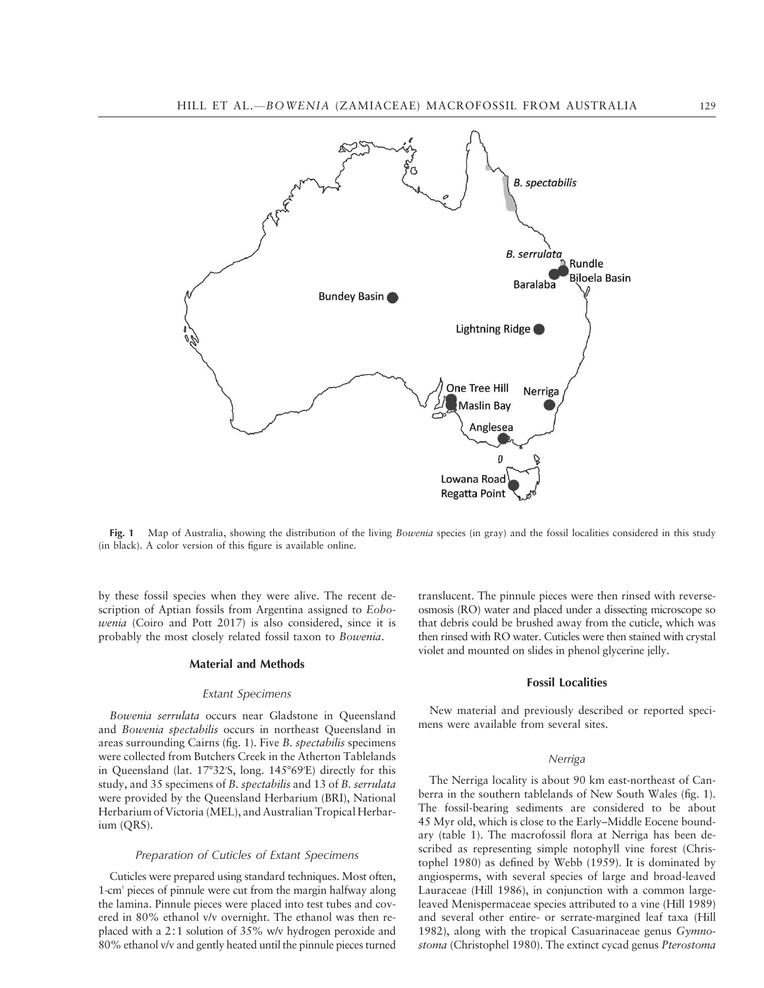



Fig. 1 Map of Australia, showing the distribution of the living Bowenia species (in gray) and the fossil localities considered in this study (in black). A color version of this figure is available online.

by these fossil species when they were alive. The recent description of Aptian fossils from Argentina assigned to Eobowenia (Coiro and Pott 2017) is also considered, since it is probably the most closely related fossil taxon to Bowenia.

## Material and Methods

#### Extant Specimens

Bowenia serrulata occurs near Gladstone in Queensland and Bowenia spectabilis occurs in northeast Queensland in areas surrounding Cairns (fig. 1). Five B. spectabilis specimens were collected from Butchers Creek in the Atherton Tablelands in Queensland (lat. 17°32′S, long. 145°69′E) directly for this study, and 35 specimens of B. spectabilis and 13 of B. serrulata were provided by the Queensland Herbarium (BRI), National Herbarium of Victoria (MEL), and Australian Tropical Herbarium (QRS).

#### Preparation of Cuticles of Extant Specimens

Cuticles were prepared using standard techniques. Most often, 1-cm² pieces of pinnule were cut from the margin halfway along the lamina. Pinnule pieces were placed into test tubes and covered in 80% ethanol v/v overnight. The ethanol was then replaced with a 2∶1 solution of 35% w/v hydrogen peroxide and 80% ethanol v/v and gently heated until the pinnule pieces turned translucent. The pinnule pieces were then rinsed with reverseosmosis (RO) water and placed under a dissecting microscope so that debris could be brushed away from the cuticle, which was then rinsed with RO water. Cuticles were then stained with crystal violet and mounted on slides in phenol glycerine jelly.

### Fossil Localities

New material and previously described or reported specimens were available from several sites.

#### Nerriga

The Nerriga locality is about 90 km east-northeast of Canberra in the southern tablelands of New South Wales (fig. 1). The fossil-bearing sediments are considered to be about 45 Myr old, which is close to the Early–Middle Eocene boundary (table 1). The macrofossil flora at Nerriga has been described as representing simple notophyll vine forest (Christophel 1980) as defined by Webb (1959). It is dominated by angiosperms, with several species of large and broad-leaved Lauraceae (Hill 1986), in conjunction with a common largeleaved Menispermaceae species attributed to a vine (Hill 1989) and several other entire- or serrate-margined leaf taxa (Hill 1982), along with the tropical Casuarinaceae genus Gymnostoma (Christophel 1980). The extinct cycad genus Pterostoma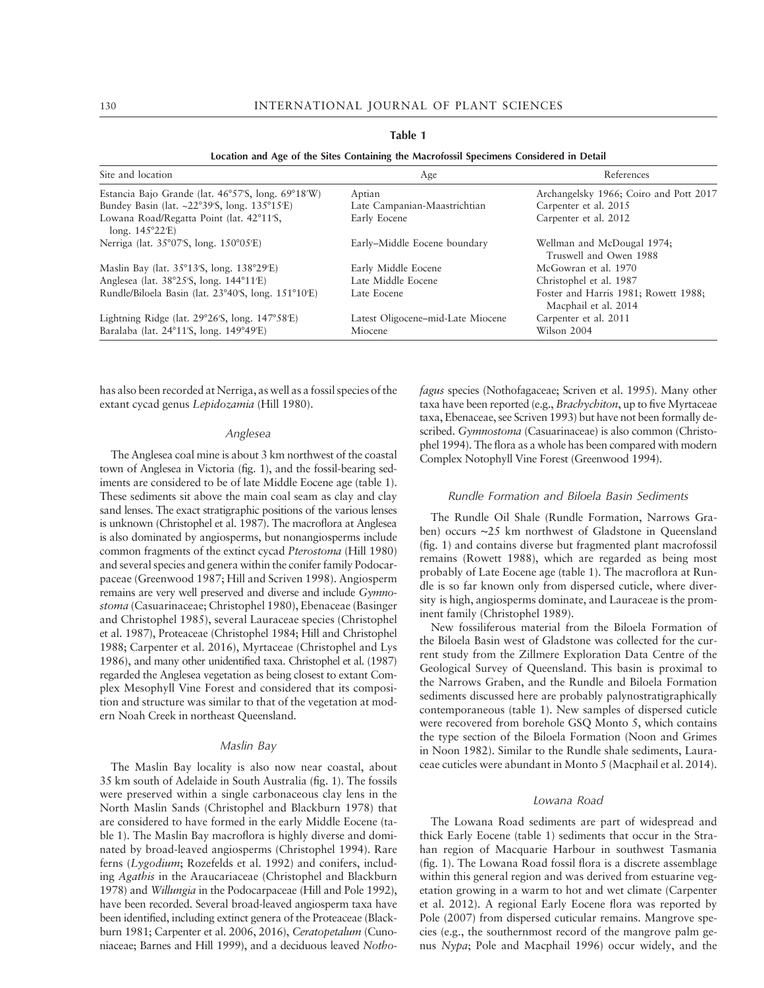| Location and Age of the Sites Containing the Macrofossii Specimens Considered in Detail |                                   |                                                              |  |  |
|-----------------------------------------------------------------------------------------|-----------------------------------|--------------------------------------------------------------|--|--|
| Site and location                                                                       | Age                               | References                                                   |  |  |
| Estancia Bajo Grande (lat. 46°57'S, long. 69°18'W)                                      | Aptian                            | Archangelsky 1966; Coiro and Pott 2017                       |  |  |
| Bundey Basin (lat. $\sim$ 22°39′S, long. 135°15′E)                                      | Late Campanian-Maastrichtian      | Carpenter et al. 2015                                        |  |  |
| Lowana Road/Regatta Point (lat. 42°11'S,<br>long. $145^{\circ}22'E$                     | Early Eocene                      | Carpenter et al. 2012                                        |  |  |
| Nerriga (lat. 35°07'S, long. 150°05'E)                                                  | Early-Middle Eocene boundary      | Wellman and McDougal 1974;<br>Truswell and Owen 1988         |  |  |
| Maslin Bay (lat. 35°13′S, long. 138°29′E)                                               | Early Middle Eocene               | McGowran et al. 1970                                         |  |  |
| Anglesea (lat. 38°25′S, long. 144°11′E)                                                 | Late Middle Eocene                | Christophel et al. 1987                                      |  |  |
| Rundle/Biloela Basin (lat. 23°40′S, long. 151°10′E)                                     | Late Eocene                       | Foster and Harris 1981; Rowett 1988;<br>Macphail et al. 2014 |  |  |
| Lightning Ridge (lat. 29°26'S, long. 147°58'E)                                          | Latest Oligocene–mid-Late Miocene | Carpenter et al. 2011                                        |  |  |
| Baralaba (lat. 24°11′S, long. 149°49′E)                                                 | Miocene                           | Wilson 2004                                                  |  |  |

Table 1

Location and Age of the Sites Containing the Macrofossil Specimens Considered in Detail

has also been recorded at Nerriga, as well as a fossil species of the extant cycad genus Lepidozamia (Hill 1980).

### Anglesea

The Anglesea coal mine is about 3 km northwest of the coastal town of Anglesea in Victoria (fig. 1), and the fossil-bearing sediments are considered to be of late Middle Eocene age (table 1). These sediments sit above the main coal seam as clay and clay sand lenses. The exact stratigraphic positions of the various lenses is unknown (Christophel et al. 1987). The macroflora at Anglesea is also dominated by angiosperms, but nonangiosperms include common fragments of the extinct cycad Pterostoma (Hill 1980) and several species and genera within the conifer family Podocarpaceae (Greenwood 1987; Hill and Scriven 1998). Angiosperm remains are very well preserved and diverse and include Gymnostoma (Casuarinaceae; Christophel 1980), Ebenaceae (Basinger and Christophel 1985), several Lauraceae species (Christophel et al. 1987), Proteaceae (Christophel 1984; Hill and Christophel 1988; Carpenter et al. 2016), Myrtaceae (Christophel and Lys 1986), and many other unidentified taxa. Christophel et al. (1987) regarded the Anglesea vegetation as being closest to extant Complex Mesophyll Vine Forest and considered that its composition and structure was similar to that of the vegetation at modern Noah Creek in northeast Queensland.

### Maslin Bay

The Maslin Bay locality is also now near coastal, about 35 km south of Adelaide in South Australia (fig. 1). The fossils were preserved within a single carbonaceous clay lens in the North Maslin Sands (Christophel and Blackburn 1978) that are considered to have formed in the early Middle Eocene (table 1). The Maslin Bay macroflora is highly diverse and dominated by broad-leaved angiosperms (Christophel 1994). Rare ferns (Lygodium; Rozefelds et al. 1992) and conifers, including Agathis in the Araucariaceae (Christophel and Blackburn 1978) and Willungia in the Podocarpaceae (Hill and Pole 1992), have been recorded. Several broad-leaved angiosperm taxa have been identified, including extinct genera of the Proteaceae (Blackburn 1981; Carpenter et al. 2006, 2016), Ceratopetalum (Cunoniaceae; Barnes and Hill 1999), and a deciduous leaved Nothofagus species (Nothofagaceae; Scriven et al. 1995). Many other taxa have been reported (e.g., Brachychiton, up to five Myrtaceae taxa, Ebenaceae, see Scriven 1993) but have not been formally described. Gymnostoma (Casuarinaceae) is also common (Christophel 1994). The flora as a whole has been compared with modern Complex Notophyll Vine Forest (Greenwood 1994).

#### Rundle Formation and Biloela Basin Sediments

The Rundle Oil Shale (Rundle Formation, Narrows Graben) occurs ∼25 km northwest of Gladstone in Queensland (fig. 1) and contains diverse but fragmented plant macrofossil remains (Rowett 1988), which are regarded as being most probably of Late Eocene age (table 1). The macroflora at Rundle is so far known only from dispersed cuticle, where diversity is high, angiosperms dominate, and Lauraceae is the prominent family (Christophel 1989).

New fossiliferous material from the Biloela Formation of the Biloela Basin west of Gladstone was collected for the current study from the Zillmere Exploration Data Centre of the Geological Survey of Queensland. This basin is proximal to the Narrows Graben, and the Rundle and Biloela Formation sediments discussed here are probably palynostratigraphically contemporaneous (table 1). New samples of dispersed cuticle were recovered from borehole GSQ Monto 5, which contains the type section of the Biloela Formation (Noon and Grimes in Noon 1982). Similar to the Rundle shale sediments, Lauraceae cuticles were abundant in Monto 5 (Macphail et al. 2014).

#### Lowana Road

The Lowana Road sediments are part of widespread and thick Early Eocene (table 1) sediments that occur in the Strahan region of Macquarie Harbour in southwest Tasmania (fig. 1). The Lowana Road fossil flora is a discrete assemblage within this general region and was derived from estuarine vegetation growing in a warm to hot and wet climate (Carpenter et al. 2012). A regional Early Eocene flora was reported by Pole (2007) from dispersed cuticular remains. Mangrove species (e.g., the southernmost record of the mangrove palm genus Nypa; Pole and Macphail 1996) occur widely, and the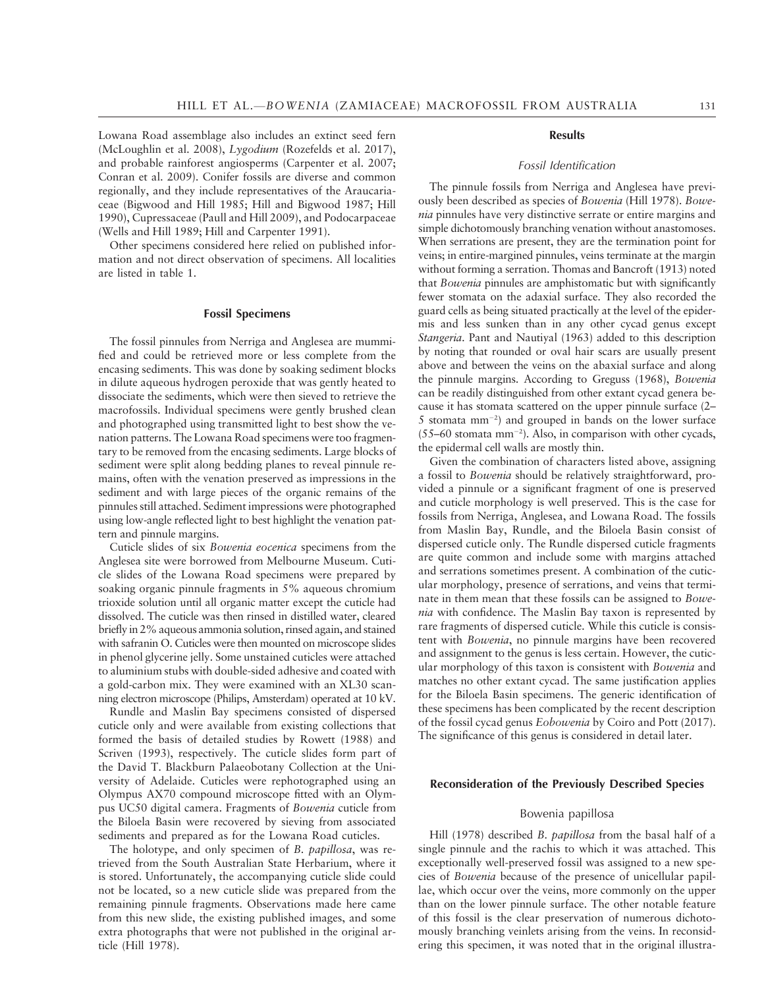Lowana Road assemblage also includes an extinct seed fern (McLoughlin et al. 2008), Lygodium (Rozefelds et al. 2017), and probable rainforest angiosperms (Carpenter et al. 2007; Conran et al. 2009). Conifer fossils are diverse and common regionally, and they include representatives of the Araucariaceae (Bigwood and Hill 1985; Hill and Bigwood 1987; Hill 1990), Cupressaceae (Paull and Hill 2009), and Podocarpaceae (Wells and Hill 1989; Hill and Carpenter 1991).

Other specimens considered here relied on published information and not direct observation of specimens. All localities are listed in table 1.

#### Fossil Specimens

The fossil pinnules from Nerriga and Anglesea are mummified and could be retrieved more or less complete from the encasing sediments. This was done by soaking sediment blocks in dilute aqueous hydrogen peroxide that was gently heated to dissociate the sediments, which were then sieved to retrieve the macrofossils. Individual specimens were gently brushed clean and photographed using transmitted light to best show the venation patterns. The Lowana Road specimens were too fragmentary to be removed from the encasing sediments. Large blocks of sediment were split along bedding planes to reveal pinnule remains, often with the venation preserved as impressions in the sediment and with large pieces of the organic remains of the pinnules still attached. Sediment impressions were photographed using low-angle reflected light to best highlight the venation pattern and pinnule margins.

Cuticle slides of six Bowenia eocenica specimens from the Anglesea site were borrowed from Melbourne Museum. Cuticle slides of the Lowana Road specimens were prepared by soaking organic pinnule fragments in 5% aqueous chromium trioxide solution until all organic matter except the cuticle had dissolved. The cuticle was then rinsed in distilled water, cleared briefly in 2% aqueous ammonia solution, rinsed again, and stained with safranin O. Cuticles were then mounted on microscope slides in phenol glycerine jelly. Some unstained cuticles were attached to aluminium stubs with double-sided adhesive and coated with a gold-carbon mix. They were examined with an XL30 scanning electron microscope (Philips, Amsterdam) operated at 10 kV.

Rundle and Maslin Bay specimens consisted of dispersed cuticle only and were available from existing collections that formed the basis of detailed studies by Rowett (1988) and Scriven (1993), respectively. The cuticle slides form part of the David T. Blackburn Palaeobotany Collection at the University of Adelaide. Cuticles were rephotographed using an Olympus AX70 compound microscope fitted with an Olympus UC50 digital camera. Fragments of Bowenia cuticle from the Biloela Basin were recovered by sieving from associated sediments and prepared as for the Lowana Road cuticles.

The holotype, and only specimen of B. papillosa, was retrieved from the South Australian State Herbarium, where it is stored. Unfortunately, the accompanying cuticle slide could not be located, so a new cuticle slide was prepared from the remaining pinnule fragments. Observations made here came from this new slide, the existing published images, and some extra photographs that were not published in the original article (Hill 1978).

### **Results**

### Fossil Identification

The pinnule fossils from Nerriga and Anglesea have previously been described as species of Bowenia (Hill 1978). Bowenia pinnules have very distinctive serrate or entire margins and simple dichotomously branching venation without anastomoses. When serrations are present, they are the termination point for veins; in entire-margined pinnules, veins terminate at the margin without forming a serration. Thomas and Bancroft (1913) noted that Bowenia pinnules are amphistomatic but with significantly fewer stomata on the adaxial surface. They also recorded the guard cells as being situated practically at the level of the epidermis and less sunken than in any other cycad genus except Stangeria. Pant and Nautiyal (1963) added to this description by noting that rounded or oval hair scars are usually present above and between the veins on the abaxial surface and along the pinnule margins. According to Greguss (1968), Bowenia can be readily distinguished from other extant cycad genera because it has stomata scattered on the upper pinnule surface (2– 5 stomata  $mm^{-2}$ ) and grouped in bands on the lower surface  $(55-60 \text{ stomata mm}^{-2})$ . Also, in comparison with other cycads, the epidermal cell walls are mostly thin.

Given the combination of characters listed above, assigning a fossil to Bowenia should be relatively straightforward, provided a pinnule or a significant fragment of one is preserved and cuticle morphology is well preserved. This is the case for fossils from Nerriga, Anglesea, and Lowana Road. The fossils from Maslin Bay, Rundle, and the Biloela Basin consist of dispersed cuticle only. The Rundle dispersed cuticle fragments are quite common and include some with margins attached and serrations sometimes present. A combination of the cuticular morphology, presence of serrations, and veins that terminate in them mean that these fossils can be assigned to Bowenia with confidence. The Maslin Bay taxon is represented by rare fragments of dispersed cuticle. While this cuticle is consistent with Bowenia, no pinnule margins have been recovered and assignment to the genus is less certain. However, the cuticular morphology of this taxon is consistent with Bowenia and matches no other extant cycad. The same justification applies for the Biloela Basin specimens. The generic identification of these specimens has been complicated by the recent description of the fossil cycad genus Eobowenia by Coiro and Pott (2017). The significance of this genus is considered in detail later.

### Reconsideration of the Previously Described Species

### Bowenia papillosa

Hill (1978) described B. papillosa from the basal half of a single pinnule and the rachis to which it was attached. This exceptionally well-preserved fossil was assigned to a new species of Bowenia because of the presence of unicellular papillae, which occur over the veins, more commonly on the upper than on the lower pinnule surface. The other notable feature of this fossil is the clear preservation of numerous dichotomously branching veinlets arising from the veins. In reconsidering this specimen, it was noted that in the original illustra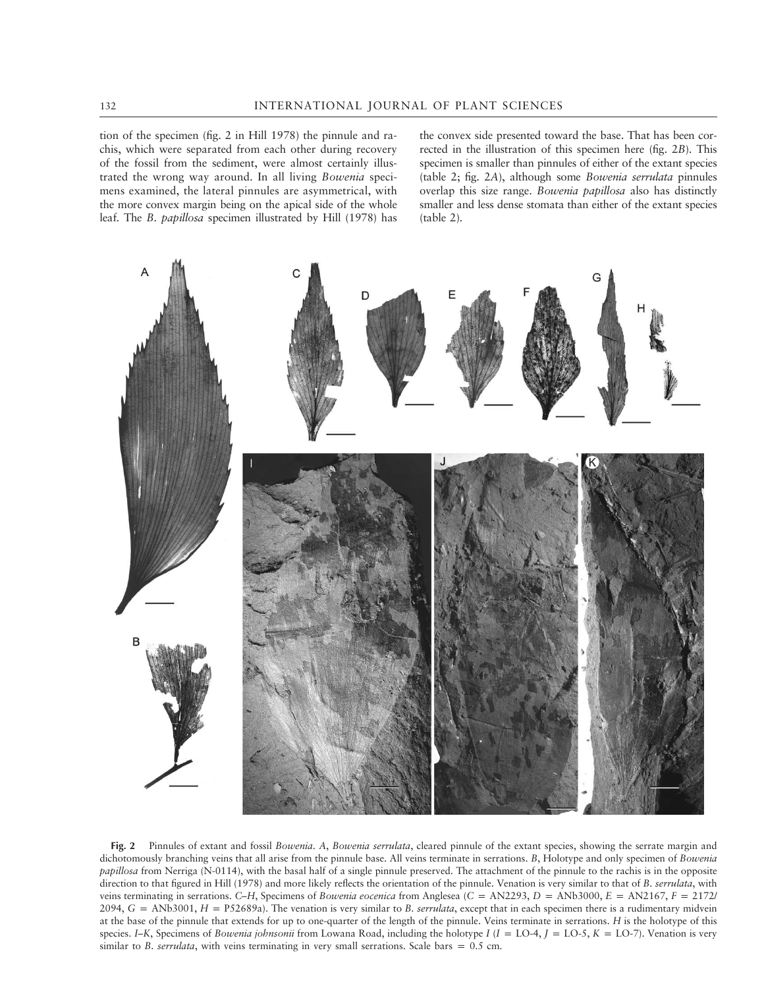tion of the specimen (fig. 2 in Hill 1978) the pinnule and rachis, which were separated from each other during recovery of the fossil from the sediment, were almost certainly illustrated the wrong way around. In all living Bowenia specimens examined, the lateral pinnules are asymmetrical, with the more convex margin being on the apical side of the whole leaf. The B. papillosa specimen illustrated by Hill (1978) has the convex side presented toward the base. That has been corrected in the illustration of this specimen here (fig. 2B). This specimen is smaller than pinnules of either of the extant species (table 2; fig. 2A), although some Bowenia serrulata pinnules overlap this size range. Bowenia papillosa also has distinctly smaller and less dense stomata than either of the extant species (table 2).



Fig. 2 Pinnules of extant and fossil Bowenia. A, Bowenia serrulata, cleared pinnule of the extant species, showing the serrate margin and dichotomously branching veins that all arise from the pinnule base. All veins terminate in serrations. B, Holotype and only specimen of Bowenia papillosa from Nerriga (N-0114), with the basal half of a single pinnule preserved. The attachment of the pinnule to the rachis is in the opposite direction to that figured in Hill (1978) and more likely reflects the orientation of the pinnule. Venation is very similar to that of B. serrulata, with veins terminating in serrations. C–H, Specimens of Bowenia eocenica from Anglesea (C = AN2293, D = ANb3000, E = AN2167, F = 2172/  $2094$ ,  $G = ANb3001$ ,  $H = P52689a$ ). The venation is very similar to B. serrulata, except that in each specimen there is a rudimentary midvein at the base of the pinnule that extends for up to one-quarter of the length of the pinnule. Veins terminate in serrations. H is the holotype of this species. I–K, Specimens of Bowenia johnsonii from Lowana Road, including the holotype I (I = LO-4, J = LO-5, K = LO-7). Venation is very similar to B. serrulata, with veins terminating in very small serrations. Scale bars =  $0.5$  cm.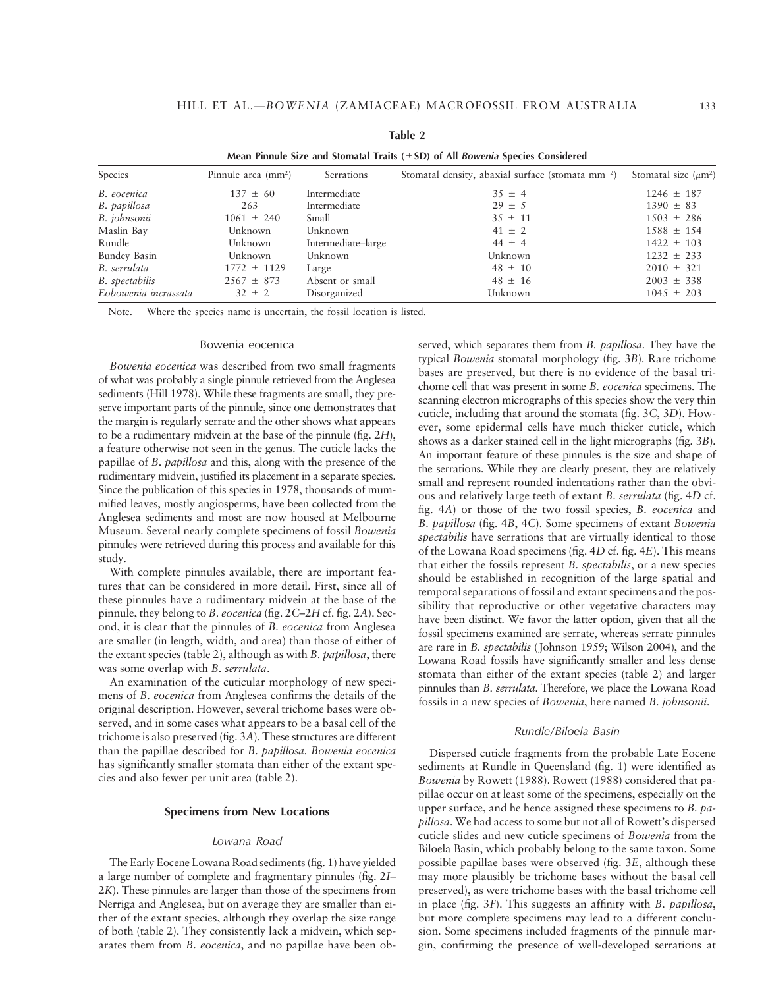| Mean Pinnule Size and Stomatal Traits $(\pm SD)$ of All <i>Bowenia</i> Species Considered |                              |                    |                                                               |                           |  |  |
|-------------------------------------------------------------------------------------------|------------------------------|--------------------|---------------------------------------------------------------|---------------------------|--|--|
| Species                                                                                   | Pinnule area $\text{(mm}^2)$ | Serrations         | Stomatal density, abaxial surface (stomata mm <sup>-2</sup> ) | Stomatal size $(\mu m^2)$ |  |  |
| B. eocenica                                                                               | $137 \pm 60$                 | Intermediate       | $35 \pm 4$                                                    | $1246 \pm 187$            |  |  |
| B. papillosa                                                                              | 263                          | Intermediate       | $29 \pm 5$                                                    | $1390 \pm 83$             |  |  |
| B. johnsonii                                                                              | $1061 \pm 240$               | Small              | $35 \pm 11$                                                   | $1503 \pm 286$            |  |  |
| Maslin Bay                                                                                | Unknown                      | Unknown            | $41 \pm 2$                                                    | $1588 \pm 154$            |  |  |
| Rundle                                                                                    | Unknown                      | Intermediate-large | $44 \pm 4$                                                    | $1422 \pm 103$            |  |  |
| Bundey Basin                                                                              | Unknown                      | Unknown            | Unknown                                                       | $1232 \pm 233$            |  |  |
| B. serrulata                                                                              | $1772 \pm 1129$              | Large              | $48 \pm 10$                                                   | $2010 \pm 321$            |  |  |
| B. spectabilis                                                                            | $2567 \pm 873$               | Absent or small    | $48 \pm 16$                                                   | $2003 \pm 338$            |  |  |
| Eobowenia incrassata                                                                      | $32 \pm 2$                   | Disorganized       | Unknown                                                       | $1045 \pm 203$            |  |  |

| Table 2                                                                     |  |  |  |  |
|-----------------------------------------------------------------------------|--|--|--|--|
| $\alpha$ for the state $\alpha$ such that $\alpha$ is the state of $\alpha$ |  |  |  |  |

Note. Where the species name is uncertain, the fossil location is listed.

#### Bowenia eocenica

Bowenia eocenica was described from two small fragments of what was probably a single pinnule retrieved from the Anglesea sediments (Hill 1978). While these fragments are small, they preserve important parts of the pinnule, since one demonstrates that the margin is regularly serrate and the other shows what appears to be a rudimentary midvein at the base of the pinnule (fig. 2H), a feature otherwise not seen in the genus. The cuticle lacks the papillae of B. papillosa and this, along with the presence of the rudimentary midvein, justified its placement in a separate species. Since the publication of this species in 1978, thousands of mummified leaves, mostly angiosperms, have been collected from the Anglesea sediments and most are now housed at Melbourne Museum. Several nearly complete specimens of fossil Bowenia pinnules were retrieved during this process and available for this study.

With complete pinnules available, there are important features that can be considered in more detail. First, since all of these pinnules have a rudimentary midvein at the base of the pinnule, they belong to B. eocenica (fig. 2C-2H cf. fig. 2A). Second, it is clear that the pinnules of B. eocenica from Anglesea are smaller (in length, width, and area) than those of either of the extant species (table 2), although as with B. papillosa, there was some overlap with B. serrulata.

An examination of the cuticular morphology of new specimens of B. eocenica from Anglesea confirms the details of the original description. However, several trichome bases were observed, and in some cases what appears to be a basal cell of the trichome is also preserved (fig. 3A). These structures are different than the papillae described for B. papillosa. Bowenia eocenica has significantly smaller stomata than either of the extant species and also fewer per unit area (table 2).

#### Specimens from New Locations

#### Lowana Road

The Early Eocene Lowana Road sediments (fig. 1) have yielded a large number of complete and fragmentary pinnules (fig. 2I– 2K). These pinnules are larger than those of the specimens from Nerriga and Anglesea, but on average they are smaller than either of the extant species, although they overlap the size range of both (table 2). They consistently lack a midvein, which separates them from B. eocenica, and no papillae have been observed, which separates them from B. papillosa. They have the typical Bowenia stomatal morphology (fig. 3B). Rare trichome bases are preserved, but there is no evidence of the basal trichome cell that was present in some B. eocenica specimens. The scanning electron micrographs of this species show the very thin cuticle, including that around the stomata (fig. 3C, 3D). However, some epidermal cells have much thicker cuticle, which shows as a darker stained cell in the light micrographs (fig. 3B). An important feature of these pinnules is the size and shape of the serrations. While they are clearly present, they are relatively small and represent rounded indentations rather than the obvious and relatively large teeth of extant B. serrulata (fig. 4D cf. fig. 4A) or those of the two fossil species, B. eocenica and B. papillosa (fig. 4B, 4C). Some specimens of extant Bowenia spectabilis have serrations that are virtually identical to those of the Lowana Road specimens (fig. 4D cf. fig. 4E). This means that either the fossils represent B. spectabilis, or a new species should be established in recognition of the large spatial and temporal separations of fossil and extant specimens and the possibility that reproductive or other vegetative characters may have been distinct. We favor the latter option, given that all the fossil specimens examined are serrate, whereas serrate pinnules are rare in B. spectabilis (Johnson 1959; Wilson 2004), and the Lowana Road fossils have significantly smaller and less dense stomata than either of the extant species (table 2) and larger pinnules than B. serrulata. Therefore, we place the Lowana Road fossils in a new species of Bowenia, here named B. johnsonii.

#### Rundle/Biloela Basin

Dispersed cuticle fragments from the probable Late Eocene sediments at Rundle in Queensland (fig. 1) were identified as Bowenia by Rowett (1988). Rowett (1988) considered that papillae occur on at least some of the specimens, especially on the upper surface, and he hence assigned these specimens to B. papillosa. We had access to some but not all of Rowett's dispersed cuticle slides and new cuticle specimens of Bowenia from the Biloela Basin, which probably belong to the same taxon. Some possible papillae bases were observed (fig. 3E, although these may more plausibly be trichome bases without the basal cell preserved), as were trichome bases with the basal trichome cell in place (fig. 3F). This suggests an affinity with B. papillosa, but more complete specimens may lead to a different conclusion. Some specimens included fragments of the pinnule margin, confirming the presence of well-developed serrations at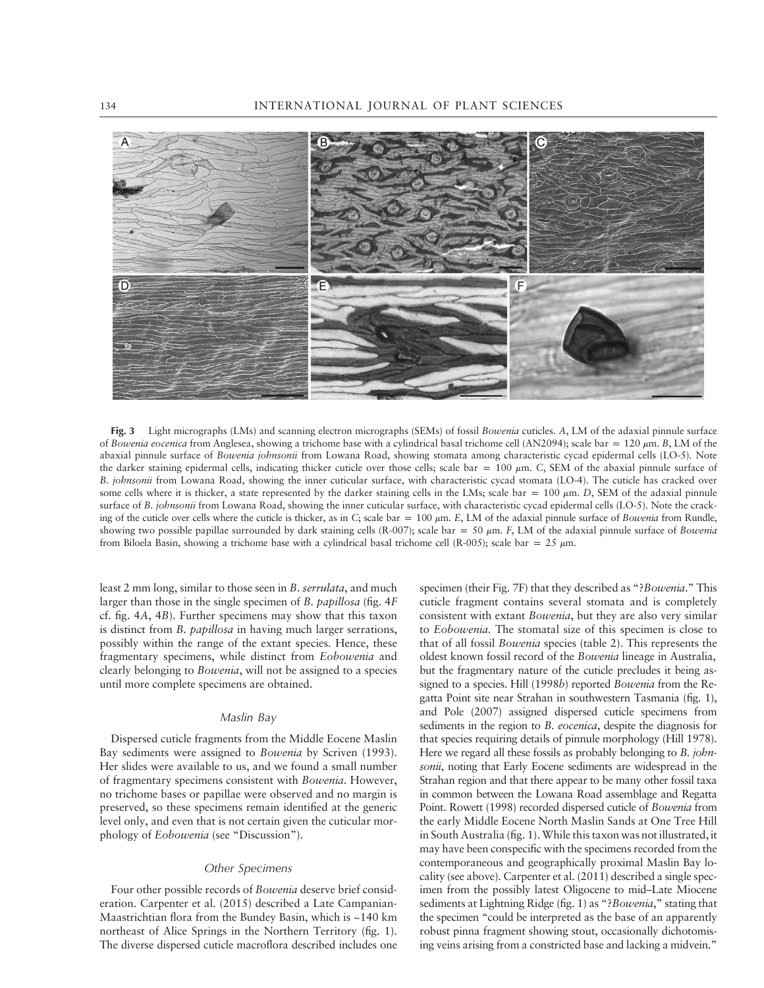

Fig. 3 Light micrographs (LMs) and scanning electron micrographs (SEMs) of fossil Bowenia cuticles. A, LM of the adaxial pinnule surface of Bowenia eocenica from Anglesea, showing a trichome base with a cylindrical basal trichome cell (AN2094); scale bar = 120  $\mu$ m. B, LM of the abaxial pinnule surface of Bowenia johnsonii from Lowana Road, showing stomata among characteristic cycad epidermal cells (LO-5). Note the darker staining epidermal cells, indicating thicker cuticle over those cells; scale bar = 100  $\mu$ m. C, SEM of the abaxial pinnule surface of B. johnsonii from Lowana Road, showing the inner cuticular surface, with characteristic cycad stomata (LO-4). The cuticle has cracked over some cells where it is thicker, a state represented by the darker staining cells in the LMs; scale bar =  $100 \mu m$ . D, SEM of the adaxial pinnule surface of B. johnsonii from Lowana Road, showing the inner cuticular surface, with characteristic cycad epidermal cells (LO-5). Note the cracking of the cuticle over cells where the cuticle is thicker, as in C; scale bar = 100  $\mu$ m. E, LM of the adaxial pinnule surface of Bowenia from Rundle, showing two possible papillae surrounded by dark staining cells (R-007); scale bar = 50  $\mu$ m. F, LM of the adaxial pinnule surface of Bowenia from Biloela Basin, showing a trichome base with a cylindrical basal trichome cell (R-005); scale bar = 25  $\mu$ m.

least 2 mm long, similar to those seen in B. serrulata, and much larger than those in the single specimen of B. papillosa (fig. 4F cf. fig. 4A, 4B). Further specimens may show that this taxon is distinct from B. papillosa in having much larger serrations, possibly within the range of the extant species. Hence, these fragmentary specimens, while distinct from Eobowenia and clearly belonging to Bowenia, will not be assigned to a species until more complete specimens are obtained.

### Maslin Bay

Dispersed cuticle fragments from the Middle Eocene Maslin Bay sediments were assigned to Bowenia by Scriven (1993). Her slides were available to us, and we found a small number of fragmentary specimens consistent with Bowenia. However, no trichome bases or papillae were observed and no margin is preserved, so these specimens remain identified at the generic level only, and even that is not certain given the cuticular morphology of Eobowenia (see "Discussion").

#### Other Specimens

Four other possible records of Bowenia deserve brief consideration. Carpenter et al. (2015) described a Late Campanian-Maastrichtian flora from the Bundey Basin, which is ~140 km northeast of Alice Springs in the Northern Territory (fig. 1). The diverse dispersed cuticle macroflora described includes one specimen (their Fig. 7F) that they described as "?Bowenia." This cuticle fragment contains several stomata and is completely consistent with extant Bowenia, but they are also very similar to Eobowenia. The stomatal size of this specimen is close to that of all fossil Bowenia species (table 2). This represents the oldest known fossil record of the Bowenia lineage in Australia, but the fragmentary nature of the cuticle precludes it being assigned to a species. Hill (1998b) reported Bowenia from the Regatta Point site near Strahan in southwestern Tasmania (fig. 1), and Pole (2007) assigned dispersed cuticle specimens from sediments in the region to *B. eocenica*, despite the diagnosis for that species requiring details of pinnule morphology (Hill 1978). Here we regard all these fossils as probably belonging to B. johnsonii, noting that Early Eocene sediments are widespread in the Strahan region and that there appear to be many other fossil taxa in common between the Lowana Road assemblage and Regatta Point. Rowett (1998) recorded dispersed cuticle of Bowenia from the early Middle Eocene North Maslin Sands at One Tree Hill in South Australia (fig. 1). While this taxon was not illustrated, it may have been conspecific with the specimens recorded from the contemporaneous and geographically proximal Maslin Bay locality (see above). Carpenter et al. (2011) described a single specimen from the possibly latest Oligocene to mid–Late Miocene sediments at Lightning Ridge (fig. 1) as "?Bowenia," stating that the specimen "could be interpreted as the base of an apparently robust pinna fragment showing stout, occasionally dichotomising veins arising from a constricted base and lacking a midvein."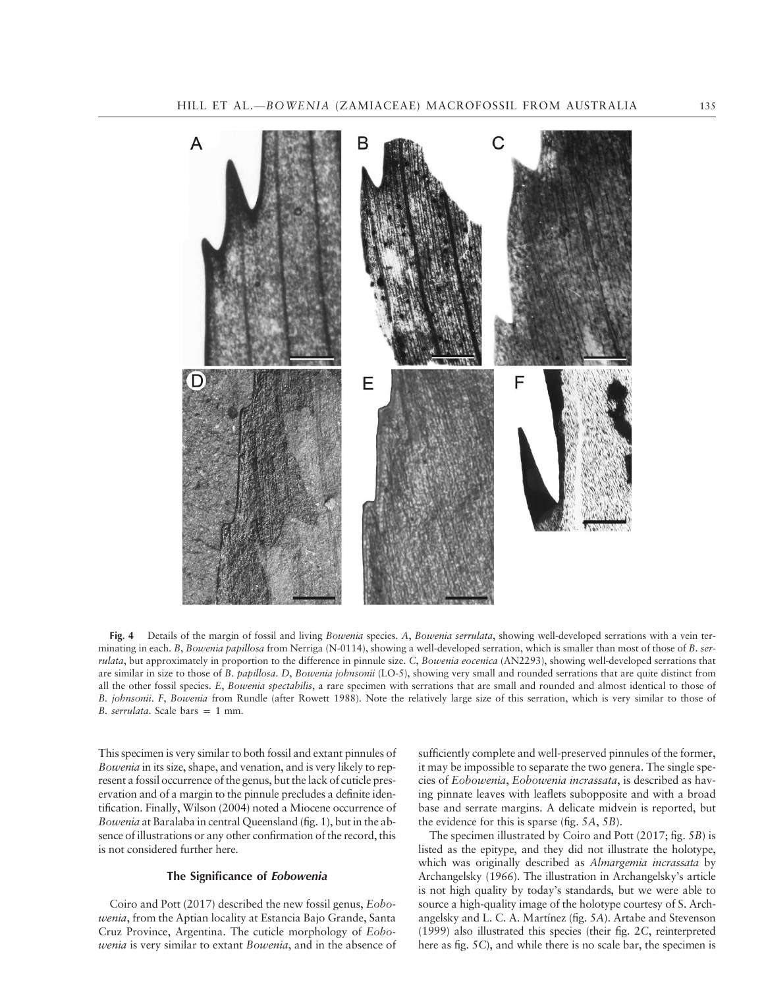

Fig. 4 Details of the margin of fossil and living Bowenia species. A, Bowenia serrulata, showing well-developed serrations with a vein terminating in each. B, Bowenia papillosa from Nerriga (N-0114), showing a well-developed serration, which is smaller than most of those of B. serrulata, but approximately in proportion to the difference in pinnule size. C, Bowenia eocenica (AN2293), showing well-developed serrations that are similar in size to those of B. papillosa. D, Bowenia johnsonii (LO-5), showing very small and rounded serrations that are quite distinct from all the other fossil species. E, Bowenia spectabilis, a rare specimen with serrations that are small and rounded and almost identical to those of B. johnsonii. F, Bowenia from Rundle (after Rowett 1988). Note the relatively large size of this serration, which is very similar to those of B. serrulata. Scale bars  $= 1$  mm.

This specimen is very similar to both fossil and extant pinnules of Bowenia in its size, shape, and venation, and is very likely to represent a fossil occurrence of the genus, but the lack of cuticle preservation and of a margin to the pinnule precludes a definite identification. Finally, Wilson (2004) noted a Miocene occurrence of Bowenia at Baralaba in central Queensland (fig. 1), but in the absence of illustrations or any other confirmation of the record, this is not considered further here.

### The Significance of Eobowenia

Coiro and Pott (2017) described the new fossil genus, Eobowenia, from the Aptian locality at Estancia Bajo Grande, Santa Cruz Province, Argentina. The cuticle morphology of Eobowenia is very similar to extant Bowenia, and in the absence of sufficiently complete and well-preserved pinnules of the former, it may be impossible to separate the two genera. The single species of Eobowenia, Eobowenia incrassata, is described as having pinnate leaves with leaflets subopposite and with a broad base and serrate margins. A delicate midvein is reported, but the evidence for this is sparse (fig. 5A, 5B).

The specimen illustrated by Coiro and Pott (2017; fig. 5B) is listed as the epitype, and they did not illustrate the holotype, which was originally described as Almargemia incrassata by Archangelsky (1966). The illustration in Archangelsky's article is not high quality by today's standards, but we were able to source a high-quality image of the holotype courtesy of S. Archangelsky and L. C. A. Martínez (fig. 5A). Artabe and Stevenson (1999) also illustrated this species (their fig. 2C, reinterpreted here as fig. 5C), and while there is no scale bar, the specimen is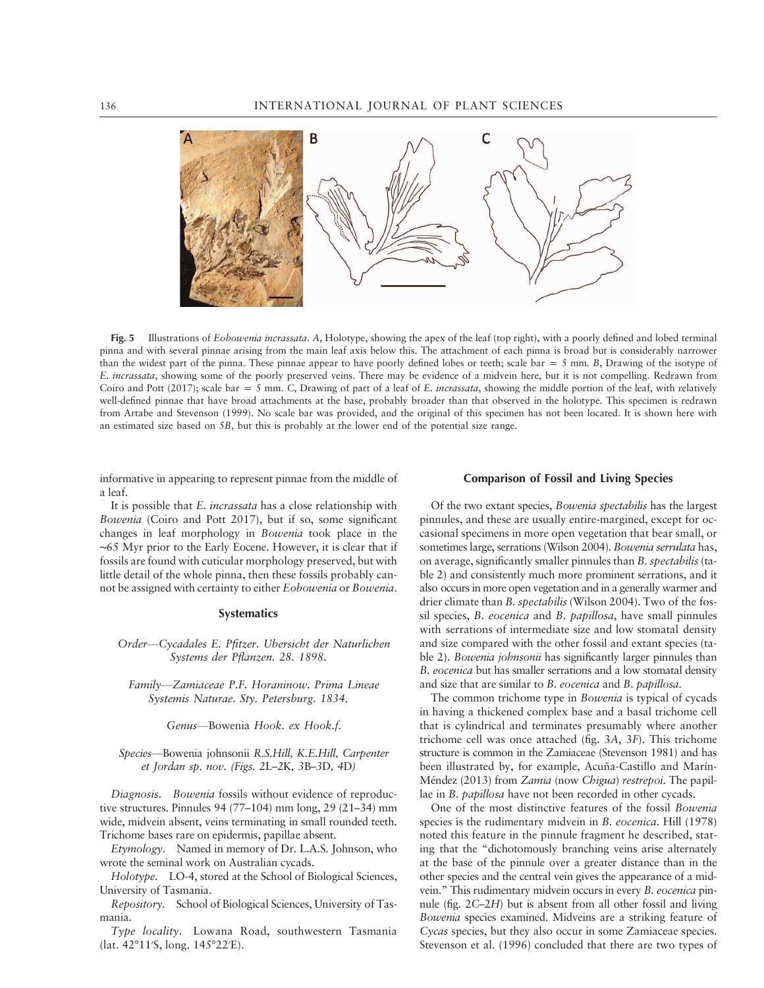

Fig. 5 Illustrations of *Eobowenia incrassata.* A, Holotype, showing the apex of the leaf (top right), with a poorly defined and lobed terminal pinna and with several pinnae arising from the main leaf axis below this. The attachment of each pinna is broad but is considerably narrower than the widest part of the pinna. These pinnae appear to have poorly defined lobes or teeth; scale bar = 5 mm. B, Drawing of the isotype of E. *incrassata*, showing some of the poorly preserved veins. There may be evidence of a midvein here, but it is not compelling. Redrawn from Coiro and Pott (2017); scale bar = 5 mm. C, Drawing of part of a leaf of E. incrassata, showing the middle portion of the leaf, with relatively well-defined pinnae that have broad attachments at the base, probably broader than that observed in the holotype. This specimen is redrawn from Artabe and Stevenson (1999). No scale bar was provided, and the original of this specimen has not been located. It is shown here with an estimated size based on 5B, but this is probably at the lower end of the potential size range.

informative in appearing to represent pinnae from the middle of a leaf.

It is possible that E. incrassata has a close relationship with Bowenia (Coiro and Pott 2017), but if so, some significant changes in leaf morphology in Bowenia took place in the ∼65 Myr prior to the Early Eocene. However, it is clear that if fossils are found with cuticular morphology preserved, but with little detail of the whole pinna, then these fossils probably cannot be assigned with certainty to either Eobowenia or Bowenia.

### **Systematics**

Order—Cycadales E. Pfitzer. Ubersicht der Naturlichen Systems der Pflanzen. 28. 1898.

Family—Zamiaceae P.F. Horaninow. Prima Lineae Systemis Naturae. Sty. Petersburg. 1834.

Genus—Bowenia Hook. ex Hook.f.

Species—Bowenia johnsonii R.S.Hill, K.E.Hill, Carpenter et Jordan sp. nov. (Figs. 2L–2K, 3B–3D, 4D)

Diagnosis. Bowenia fossils without evidence of reproductive structures. Pinnules 94 (77–104) mm long, 29 (21–34) mm wide, midvein absent, veins terminating in small rounded teeth. Trichome bases rare on epidermis, papillae absent.

Etymology. Named in memory of Dr. L.A.S. Johnson, who wrote the seminal work on Australian cycads.

Holotype. LO-4, stored at the School of Biological Sciences, University of Tasmania.

Repository. School of Biological Sciences, University of Tasmania.

Type locality. Lowana Road, southwestern Tasmania (lat. 42°11′S, long. 145°22′E).

#### Comparison of Fossil and Living Species

Of the two extant species, Bowenia spectabilis has the largest pinnules, and these are usually entire-margined, except for occasional specimens in more open vegetation that bear small, or sometimes large, serrations (Wilson 2004). Bowenia serrulata has, on average, significantly smaller pinnules than B. spectabilis (table 2) and consistently much more prominent serrations, and it also occurs in more open vegetation and in a generally warmer and drier climate than B. spectabilis (Wilson 2004). Two of the fossil species, *B. eocenica* and *B. papillosa*, have small pinnules with serrations of intermediate size and low stomatal density and size compared with the other fossil and extant species (table 2). Bowenia johnsonii has significantly larger pinnules than B. eocenica but has smaller serrations and a low stomatal density and size that are similar to B. eocenica and B. papillosa.

The common trichome type in Bowenia is typical of cycads in having a thickened complex base and a basal trichome cell that is cylindrical and terminates presumably where another trichome cell was once attached (fig. 3A, 3F). This trichome structure is common in the Zamiaceae (Stevenson 1981) and has been illustrated by, for example, Acuña-Castillo and Marín-Méndez (2013) from Zamia (now Chigua) restrepoi. The papillae in B. papillosa have not been recorded in other cycads.

One of the most distinctive features of the fossil Bowenia species is the rudimentary midvein in B. eocenica. Hill (1978) noted this feature in the pinnule fragment he described, stating that the "dichotomously branching veins arise alternately at the base of the pinnule over a greater distance than in the other species and the central vein gives the appearance of a midvein." This rudimentary midvein occurs in every B. eocenica pinnule (fig. 2C–2H) but is absent from all other fossil and living Bowenia species examined. Midveins are a striking feature of Cycas species, but they also occur in some Zamiaceae species. Stevenson et al. (1996) concluded that there are two types of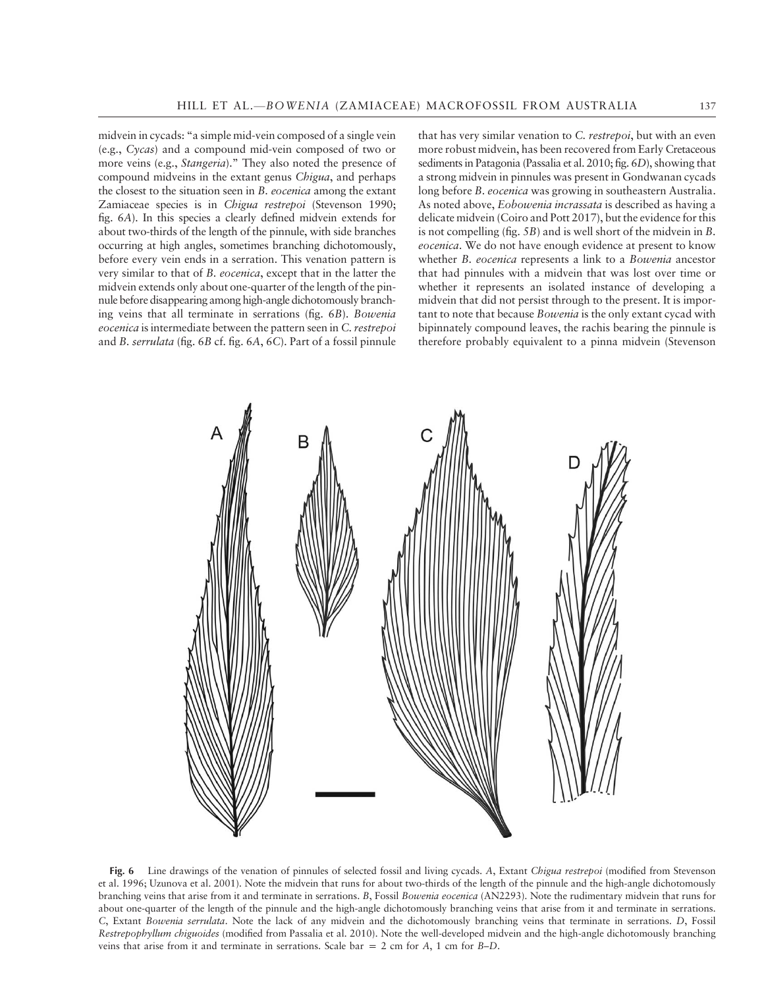midvein in cycads: "a simple mid-vein composed of a single vein (e.g., Cycas) and a compound mid-vein composed of two or more veins (e.g., Stangeria)." They also noted the presence of compound midveins in the extant genus Chigua, and perhaps the closest to the situation seen in B. eocenica among the extant Zamiaceae species is in Chigua restrepoi (Stevenson 1990; fig. 6A). In this species a clearly defined midvein extends for about two-thirds of the length of the pinnule, with side branches occurring at high angles, sometimes branching dichotomously, before every vein ends in a serration. This venation pattern is very similar to that of B. eocenica, except that in the latter the midvein extends only about one-quarter of the length of the pinnule before disappearing among high-angle dichotomously branching veins that all terminate in serrations (fig. 6B). Bowenia eocenica is intermediate between the pattern seen in C. restrepoi and B. serrulata (fig. 6B cf. fig. 6A, 6C). Part of a fossil pinnule that has very similar venation to C. restrepoi, but with an even more robust midvein, has been recovered from Early Cretaceous sediments in Patagonia (Passalia et al. 2010; fig. 6D), showing that a strong midvein in pinnules was present in Gondwanan cycads long before B. eocenica was growing in southeastern Australia. As noted above, Eobowenia incrassata is described as having a delicate midvein (Coiro and Pott 2017), but the evidence for this is not compelling (fig. 5B) and is well short of the midvein in B. eocenica. We do not have enough evidence at present to know whether B. eocenica represents a link to a Bowenia ancestor that had pinnules with a midvein that was lost over time or whether it represents an isolated instance of developing a midvein that did not persist through to the present. It is important to note that because Bowenia is the only extant cycad with bipinnately compound leaves, the rachis bearing the pinnule is therefore probably equivalent to a pinna midvein (Stevenson

B

Fig. 6 Line drawings of the venation of pinnules of selected fossil and living cycads. A, Extant Chigua restrepoi (modified from Stevenson et al. 1996; Uzunova et al. 2001). Note the midvein that runs for about two-thirds of the length of the pinnule and the high-angle dichotomously branching veins that arise from it and terminate in serrations. B, Fossil Bowenia eocenica (AN2293). Note the rudimentary midvein that runs for about one-quarter of the length of the pinnule and the high-angle dichotomously branching veins that arise from it and terminate in serrations. C, Extant Bowenia serrulata. Note the lack of any midvein and the dichotomously branching veins that terminate in serrations. D, Fossil Restrepophyllum chiguoides (modified from Passalia et al. 2010). Note the well-developed midvein and the high-angle dichotomously branching veins that arise from it and terminate in serrations. Scale bar = 2 cm for A, 1 cm for B–D.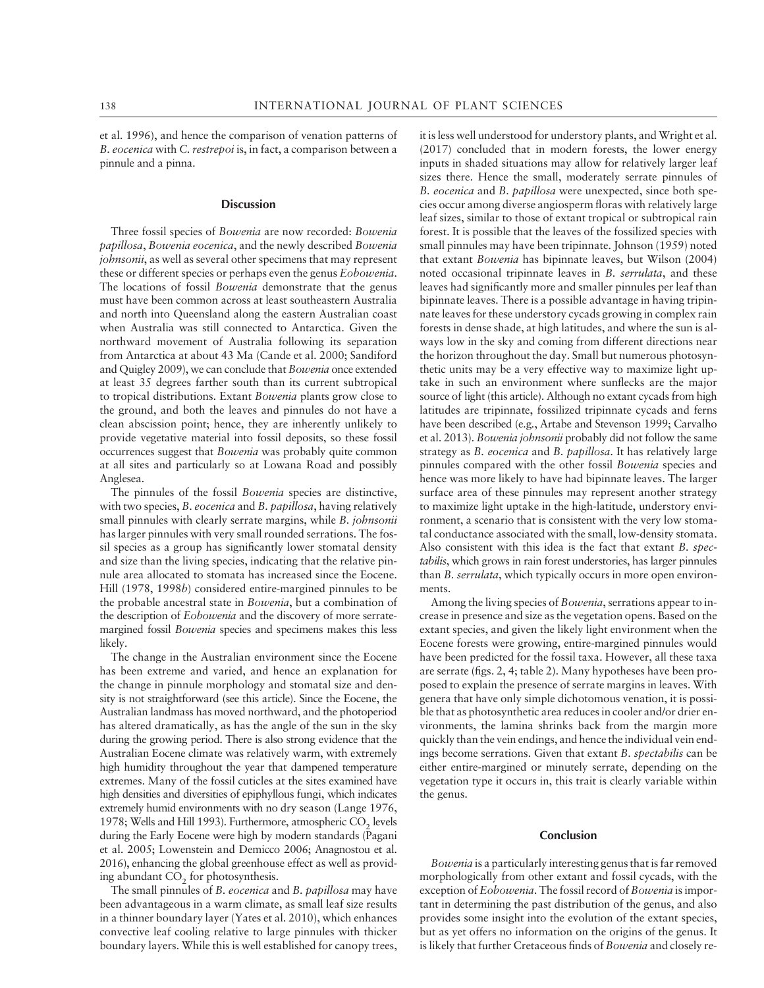et al. 1996), and hence the comparison of venation patterns of B. eocenica with C. restrepoi is, in fact, a comparison between a pinnule and a pinna.

#### **Discussion**

Three fossil species of Bowenia are now recorded: Bowenia papillosa, Bowenia eocenica, and the newly described Bowenia johnsonii, as well as several other specimens that may represent these or different species or perhaps even the genus Eobowenia. The locations of fossil Bowenia demonstrate that the genus must have been common across at least southeastern Australia and north into Queensland along the eastern Australian coast when Australia was still connected to Antarctica. Given the northward movement of Australia following its separation from Antarctica at about 43 Ma (Cande et al. 2000; Sandiford and Quigley 2009), we can conclude that Bowenia once extended at least 35 degrees farther south than its current subtropical to tropical distributions. Extant Bowenia plants grow close to the ground, and both the leaves and pinnules do not have a clean abscission point; hence, they are inherently unlikely to provide vegetative material into fossil deposits, so these fossil occurrences suggest that Bowenia was probably quite common at all sites and particularly so at Lowana Road and possibly Anglesea.

The pinnules of the fossil Bowenia species are distinctive, with two species, B. eocenica and B. papillosa, having relatively small pinnules with clearly serrate margins, while B. johnsonii has larger pinnules with very small rounded serrations. The fossil species as a group has significantly lower stomatal density and size than the living species, indicating that the relative pinnule area allocated to stomata has increased since the Eocene. Hill (1978, 1998b) considered entire-margined pinnules to be the probable ancestral state in Bowenia, but a combination of the description of Eobowenia and the discovery of more serratemargined fossil Bowenia species and specimens makes this less likely.

The change in the Australian environment since the Eocene has been extreme and varied, and hence an explanation for the change in pinnule morphology and stomatal size and density is not straightforward (see this article). Since the Eocene, the Australian landmass has moved northward, and the photoperiod has altered dramatically, as has the angle of the sun in the sky during the growing period. There is also strong evidence that the Australian Eocene climate was relatively warm, with extremely high humidity throughout the year that dampened temperature extremes. Many of the fossil cuticles at the sites examined have high densities and diversities of epiphyllous fungi, which indicates extremely humid environments with no dry season (Lange 1976, 1978; Wells and Hill 1993). Furthermore, atmospheric  $CO<sub>2</sub>$  levels during the Early Eocene were high by modern standards (Pagani et al. 2005; Lowenstein and Demicco 2006; Anagnostou et al. 2016), enhancing the global greenhouse effect as well as providing abundant CO<sub>2</sub> for photosynthesis.

The small pinnules of B. eocenica and B. papillosa may have been advantageous in a warm climate, as small leaf size results in a thinner boundary layer (Yates et al. 2010), which enhances convective leaf cooling relative to large pinnules with thicker boundary layers. While this is well established for canopy trees, it is less well understood for understory plants, and Wright et al. (2017) concluded that in modern forests, the lower energy inputs in shaded situations may allow for relatively larger leaf sizes there. Hence the small, moderately serrate pinnules of B. eocenica and B. papillosa were unexpected, since both species occur among diverse angiosperm floras with relatively large leaf sizes, similar to those of extant tropical or subtropical rain forest. It is possible that the leaves of the fossilized species with small pinnules may have been tripinnate. Johnson (1959) noted that extant Bowenia has bipinnate leaves, but Wilson (2004) noted occasional tripinnate leaves in B. serrulata, and these leaves had significantly more and smaller pinnules per leaf than bipinnate leaves. There is a possible advantage in having tripinnate leaves for these understory cycads growing in complex rain forests in dense shade, at high latitudes, and where the sun is always low in the sky and coming from different directions near the horizon throughout the day. Small but numerous photosynthetic units may be a very effective way to maximize light uptake in such an environment where sunflecks are the major source of light (this article). Although no extant cycads from high latitudes are tripinnate, fossilized tripinnate cycads and ferns have been described (e.g., Artabe and Stevenson 1999; Carvalho et al. 2013). Bowenia johnsonii probably did not follow the same strategy as *B. eocenica* and *B. papillosa*. It has relatively large pinnules compared with the other fossil Bowenia species and hence was more likely to have had bipinnate leaves. The larger surface area of these pinnules may represent another strategy to maximize light uptake in the high-latitude, understory environment, a scenario that is consistent with the very low stomatal conductance associated with the small, low-density stomata. Also consistent with this idea is the fact that extant B. spectabilis, which grows in rain forest understories, has larger pinnules than B. serrulata, which typically occurs in more open environments.

Among the living species of Bowenia, serrations appear to increase in presence and size as the vegetation opens. Based on the extant species, and given the likely light environment when the Eocene forests were growing, entire-margined pinnules would have been predicted for the fossil taxa. However, all these taxa are serrate (figs. 2, 4; table 2). Many hypotheses have been proposed to explain the presence of serrate margins in leaves. With genera that have only simple dichotomous venation, it is possible that as photosynthetic area reduces in cooler and/or drier environments, the lamina shrinks back from the margin more quickly than the vein endings, and hence the individual vein endings become serrations. Given that extant B. spectabilis can be either entire-margined or minutely serrate, depending on the vegetation type it occurs in, this trait is clearly variable within the genus.

#### Conclusion

Bowenia is a particularly interesting genus that is far removed morphologically from other extant and fossil cycads, with the exception of Eobowenia. The fossil record of Bowenia is important in determining the past distribution of the genus, and also provides some insight into the evolution of the extant species, but as yet offers no information on the origins of the genus. It is likely that further Cretaceous finds of Bowenia and closely re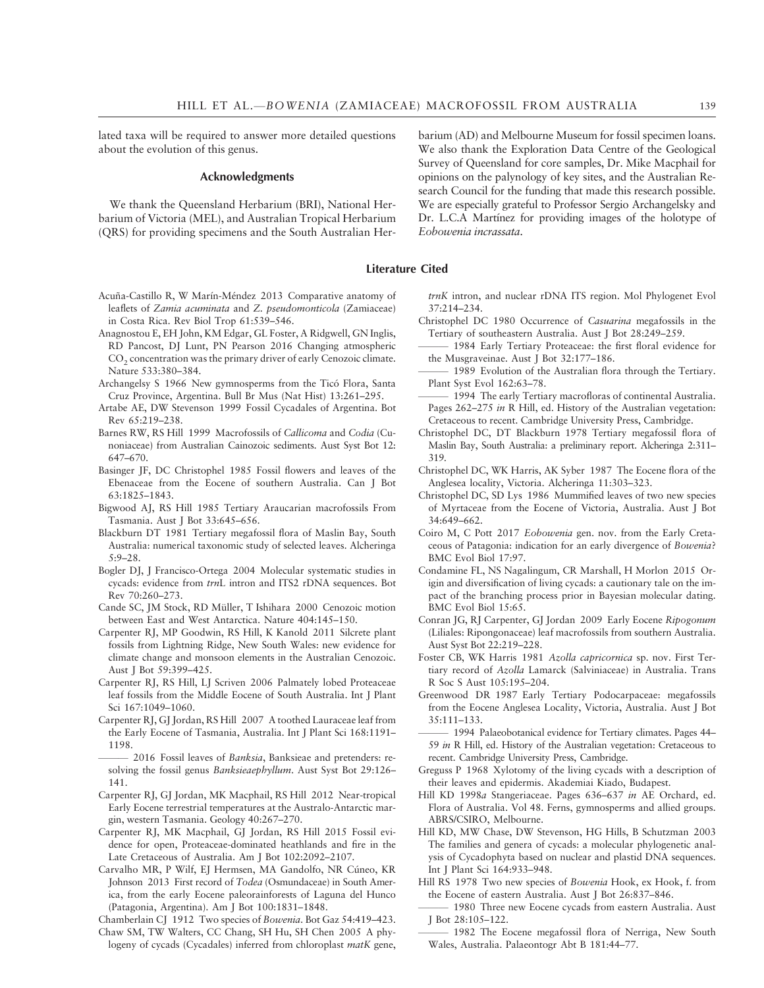lated taxa will be required to answer more detailed questions about the evolution of this genus.

### Acknowledgments

We thank the Queensland Herbarium (BRI), National Herbarium of Victoria (MEL), and Australian Tropical Herbarium (QRS) for providing specimens and the South Australian Her-

- Acuña-Castillo R, W Marín-Méndez 2013 Comparative anatomy of leaflets of Zamia acuminata and Z. pseudomonticola (Zamiaceae) in Costa Rica. Rev Biol Trop 61:539–546.
- Anagnostou E, EH John, KM Edgar, GL Foster, A Ridgwell, GN Inglis, RD Pancost, DJ Lunt, PN Pearson 2016 Changing atmospheric CO<sub>2</sub> concentration was the primary driver of early Cenozoic climate. Nature 533:380–384.
- Archangelsy S 1966 New gymnosperms from the Ticó Flora, Santa Cruz Province, Argentina. Bull Br Mus (Nat Hist) 13:261–295.
- Artabe AE, DW Stevenson 1999 Fossil Cycadales of Argentina. Bot Rev 65:219–238.
- Barnes RW, RS Hill 1999 Macrofossils of Callicoma and Codia (Cunoniaceae) from Australian Cainozoic sediments. Aust Syst Bot 12: 647–670.
- Basinger JF, DC Christophel 1985 Fossil flowers and leaves of the Ebenaceae from the Eocene of southern Australia. Can J Bot 63:1825–1843.
- Bigwood AJ, RS Hill 1985 Tertiary Araucarian macrofossils From Tasmania. Aust J Bot 33:645–656.
- Blackburn DT 1981 Tertiary megafossil flora of Maslin Bay, South Australia: numerical taxonomic study of selected leaves. Alcheringa 5:9–28.
- Bogler DJ, J Francisco-Ortega 2004 Molecular systematic studies in cycads: evidence from trnL intron and ITS2 rDNA sequences. Bot Rev 70:260–273.
- Cande SC, JM Stock, RD Müller, T Ishihara 2000 Cenozoic motion between East and West Antarctica. Nature 404:145–150.
- Carpenter RJ, MP Goodwin, RS Hill, K Kanold 2011 Silcrete plant fossils from Lightning Ridge, New South Wales: new evidence for climate change and monsoon elements in the Australian Cenozoic. Aust J Bot 59:399–425.
- Carpenter RJ, RS Hill, LJ Scriven 2006 Palmately lobed Proteaceae leaf fossils from the Middle Eocene of South Australia. Int J Plant Sci 167:1049–1060.
- Carpenter RJ, GJ Jordan, RS Hill 2007 A toothed Lauraceae leaf from the Early Eocene of Tasmania, Australia. Int J Plant Sci 168:1191– 1198.
- 2016 Fossil leaves of Banksia, Banksieae and pretenders: resolving the fossil genus Banksieaephyllum. Aust Syst Bot 29:126– 141.
- Carpenter RJ, GJ Jordan, MK Macphail, RS Hill 2012 Near-tropical Early Eocene terrestrial temperatures at the Australo-Antarctic margin, western Tasmania. Geology 40:267–270.
- Carpenter RJ, MK Macphail, GJ Jordan, RS Hill 2015 Fossil evidence for open, Proteaceae-dominated heathlands and fire in the Late Cretaceous of Australia. Am J Bot 102:2092–2107.
- Carvalho MR, P Wilf, EJ Hermsen, MA Gandolfo, NR Cúneo, KR Johnson 2013 First record of Todea (Osmundaceae) in South America, from the early Eocene paleorainforests of Laguna del Hunco (Patagonia, Argentina). Am J Bot 100:1831–1848.

Chamberlain CJ 1912 Two species of Bowenia. Bot Gaz 54:419–423.

Chaw SM, TW Walters, CC Chang, SH Hu, SH Chen 2005 A phylogeny of cycads (Cycadales) inferred from chloroplast matK gene, barium (AD) and Melbourne Museum for fossil specimen loans. We also thank the Exploration Data Centre of the Geological Survey of Queensland for core samples, Dr. Mike Macphail for opinions on the palynology of key sites, and the Australian Research Council for the funding that made this research possible. We are especially grateful to Professor Sergio Archangelsky and Dr. L.C.A Martínez for providing images of the holotype of Eobowenia incrassata.

Literature Cited

trnK intron, and nuclear rDNA ITS region. Mol Phylogenet Evol 37:214–234.

- Christophel DC 1980 Occurrence of Casuarina megafossils in the Tertiary of southeastern Australia. Aust J Bot 28:249–259.
- 1984 Early Tertiary Proteaceae: the first floral evidence for the Musgraveinae. Aust J Bot 32:177–186.
- 1989 Evolution of the Australian flora through the Tertiary. Plant Syst Evol 162:63–78.
- 1994 The early Tertiary macrofloras of continental Australia. Pages 262–275 in R Hill, ed. History of the Australian vegetation: Cretaceous to recent. Cambridge University Press, Cambridge.
- Christophel DC, DT Blackburn 1978 Tertiary megafossil flora of Maslin Bay, South Australia: a preliminary report. Alcheringa 2:311– 319.
- Christophel DC, WK Harris, AK Syber 1987 The Eocene flora of the Anglesea locality, Victoria. Alcheringa 11:303–323.
- Christophel DC, SD Lys 1986 Mummified leaves of two new species of Myrtaceae from the Eocene of Victoria, Australia. Aust J Bot 34:649–662.
- Coiro M, C Pott 2017 Eobowenia gen. nov. from the Early Cretaceous of Patagonia: indication for an early divergence of Bowenia? BMC Evol Biol 17:97.
- Condamine FL, NS Nagalingum, CR Marshall, H Morlon 2015 Origin and diversification of living cycads: a cautionary tale on the impact of the branching process prior in Bayesian molecular dating. BMC Evol Biol 15:65.
- Conran JG, RJ Carpenter, GJ Jordan 2009 Early Eocene Ripogonum (Liliales: Ripongonaceae) leaf macrofossils from southern Australia. Aust Syst Bot 22:219–228.
- Foster CB, WK Harris 1981 Azolla capricornica sp. nov. First Tertiary record of Azolla Lamarck (Salviniaceae) in Australia. Trans R Soc S Aust 105:195–204.
- Greenwood DR 1987 Early Tertiary Podocarpaceae: megafossils from the Eocene Anglesea Locality, Victoria, Australia. Aust J Bot 35:111–133.
- 1994 Palaeobotanical evidence for Tertiary climates. Pages 44-59 in R Hill, ed. History of the Australian vegetation: Cretaceous to recent. Cambridge University Press, Cambridge.
- Greguss P 1968 Xylotomy of the living cycads with a description of their leaves and epidermis. Akademiai Kiado, Budapest.
- Hill KD 1998a Stangeriaceae. Pages 636–637 in AE Orchard, ed. Flora of Australia. Vol 48. Ferns, gymnosperms and allied groups. ABRS/CSIRO, Melbourne.
- Hill KD, MW Chase, DW Stevenson, HG Hills, B Schutzman 2003 The families and genera of cycads: a molecular phylogenetic analysis of Cycadophyta based on nuclear and plastid DNA sequences. Int J Plant Sci 164:933–948.
- Hill RS 1978 Two new species of Bowenia Hook, ex Hook, f. from the Eocene of eastern Australia. Aust J Bot 26:837–846.
- 1980 Three new Eocene cycads from eastern Australia. Aust J Bot 28:105–122.
- 1982 The Eocene megafossil flora of Nerriga, New South Wales, Australia. Palaeontogr Abt B 181:44–77.